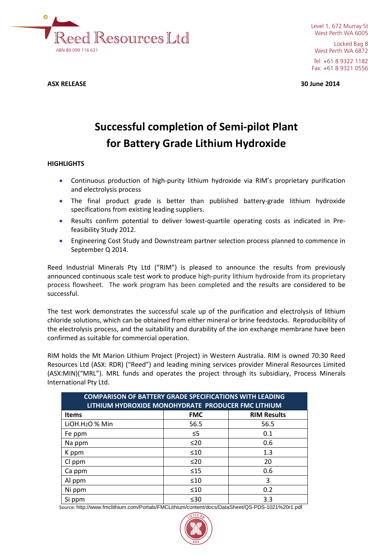

Level 1, 672 Murray St West Perth WA 6005 Locked Bag 8 West Perth WA 6872 Tel: +61 8 9322 1182

Fax: +61 8 9321 0556

**ASX RELEASE 30 June 2014**

# **Successful completion of Semi-pilot Plant for Battery Grade Lithium Hydroxide**

# **HIGHLIGHTS**

- Continuous production of high-purity lithium hydroxide via RIM's proprietary purification and electrolysis process
- The final product grade is better than published battery-grade lithium hydroxide specifications from existing leading suppliers.
- Results confirm potential to deliver lowest-quartile operating costs as indicated in Prefeasibility Study 2012.
- Engineering Cost Study and Downstream partner selection process planned to commence in September Q 2014.

Reed Industrial Minerals Pty Ltd ("RIM") is pleased to announce the results from previously announced continuous scale test work to produce high-purity lithium hydroxide from its proprietary process flowsheet. The work program has been completed and the results are considered to be successful.

The test work demonstrates the successful scale up of the purification and electrolysis of lithium chloride solutions, which can be obtained from either mineral or brine feedstocks. Reproducibility of the electrolysis process, and the suitability and durability of the ion exchange membrane have been confirmed as suitable for commercial operation.

RIM holds the Mt Marion Lithium Project (Project) in Western Australia. RIM is owned 70:30 Reed Resources Ltd (ASX: RDR) ("Reed") and leading mining services provider Mineral Resources Limited (ASX:MIN)("MRL"). MRL funds and operates the project through its subsidiary, Process Minerals International Pty Ltd.

| <b>COMPARISON OF BATTERY GRADE SPECIFICATIONS WITH LEADING</b><br>LITHIUM HYDROXIDE MONOHYDRATE PRODUCER FMC LITHIUM |            |                    |  |  |
|----------------------------------------------------------------------------------------------------------------------|------------|--------------------|--|--|
| <b>Items</b>                                                                                                         | <b>FMC</b> | <b>RIM Results</b> |  |  |
| LIOH.H <sub>2</sub> O % Min                                                                                          | 56.5       | 56.5               |  |  |
| Fe ppm                                                                                                               | $\leq 5$   | 0.1                |  |  |
| Na ppm                                                                                                               | ≤20        | 0.6                |  |  |
| K ppm                                                                                                                | $\leq 10$  | 1.3                |  |  |
| Cl ppm                                                                                                               | $\leq 20$  | 20                 |  |  |
| Ca ppm                                                                                                               | $\leq 15$  | 0.6                |  |  |
| Al ppm                                                                                                               | $\leq 10$  | 3                  |  |  |
| Ni ppm                                                                                                               | $\leq 10$  | 0.2                |  |  |
| Si ppm                                                                                                               | $\leq 30$  | 3.3                |  |  |

Source: http://www.fmclithium.com/Portals/FMCLithium/content/docs/DataSheet/QS-PDS-1021%20r1.pdf

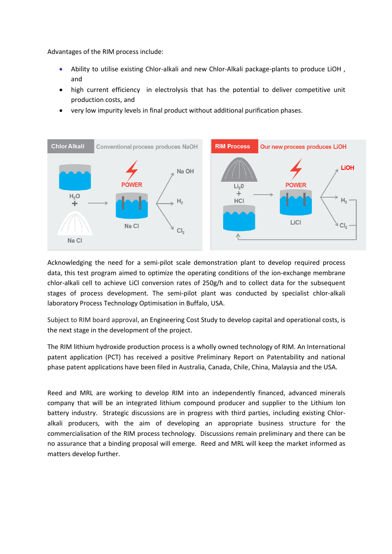Advantages of the RIM process include:

- Ability to utilise existing Chlor-alkali and new Chlor-Alkali package-plants to produce LiOH , and
- high current efficiency in electrolysis that has the potential to deliver competitive unit production costs, and
- very low impurity levels in final product without additional purification phases.



Acknowledging the need for a semi-pilot scale demonstration plant to develop required process data, this test program aimed to optimize the operating conditions of the ion-exchange membrane chlor-alkali cell to achieve LiCl conversion rates of 250g/h and to collect data for the subsequent stages of process development. The semi-pilot plant was conducted by specialist chlor-alkali laboratory Process Technology Optimisation in Buffalo, USA.

Subject to RIM board approval, an Engineering Cost Study to develop capital and operational costs, is the next stage in the development of the project.

The RIM lithium hydroxide production process is a wholly owned technology of RIM. An International patent application (PCT) has received a positive Preliminary Report on Patentability and national phase patent applications have been filed in Australia, Canada, Chile, China, Malaysia and the USA.

Reed and MRL are working to develop RIM into an independently financed, advanced minerals company that will be an integrated lithium compound producer and supplier to the Lithium Ion battery industry. Strategic discussions are in progress with third parties, including existing Chloralkali producers, with the aim of developing an appropriate business structure for the commercialisation of the RIM process technology. Discussions remain preliminary and there can be no assurance that a binding proposal will emerge. Reed and MRL will keep the market informed as matters develop further.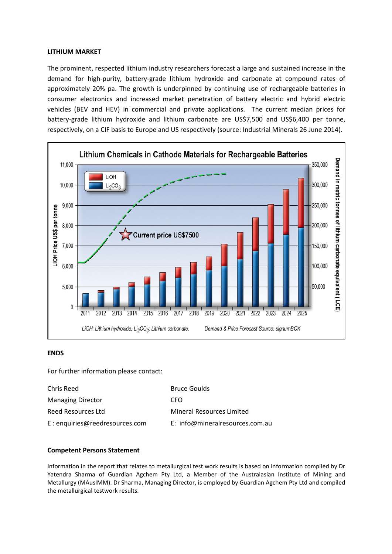#### **LITHIUM MARKET**

The prominent, respected lithium industry researchers forecast a large and sustained increase in the demand for high-purity, battery-grade lithium hydroxide and carbonate at compound rates of approximately 20% pa. The growth is underpinned by continuing use of rechargeable batteries in consumer electronics and increased market penetration of battery electric and hybrid electric vehicles (BEV and HEV) in commercial and private applications. The current median prices for battery-grade lithium hydroxide and lithium carbonate are US\$7,500 and US\$6,400 per tonne, respectively, on a CIF basis to Europe and US respectively (source: Industrial Minerals 26 June 2014).



## **ENDS**

For further information please contact:

| Chris Reed                     | <b>Bruce Goulds</b>              |  |
|--------------------------------|----------------------------------|--|
| <b>Managing Director</b>       | CFO                              |  |
| Reed Resources Ltd             | <b>Mineral Resources Limited</b> |  |
| E: enquiries@reedresources.com | E: info@mineralresources.com.au  |  |

## **Competent Persons Statement**

Information in the report that relates to metallurgical test work results is based on information compiled by Dr Yatendra Sharma of Guardian Agchem Pty Ltd, a Member of the Australasian Institute of Mining and Metallurgy (MAusIMM). Dr Sharma, Managing Director, is employed by Guardian Agchem Pty Ltd and compiled the metallurgical testwork results.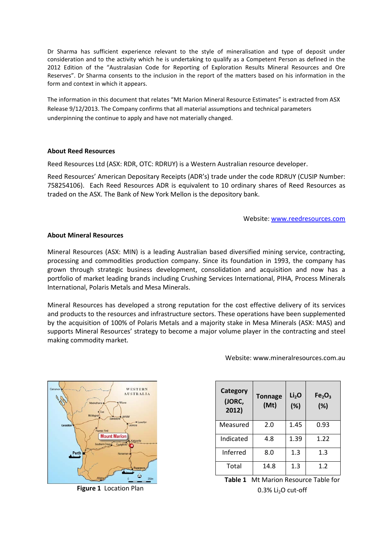Dr Sharma has sufficient experience relevant to the style of mineralisation and type of deposit under consideration and to the activity which he is undertaking to qualify as a Competent Person as defined in the 2012 Edition of the "Australasian Code for Reporting of Exploration Results Mineral Resources and Ore Reserves". Dr Sharma consents to the inclusion in the report of the matters based on his information in the form and context in which it appears.

The information in this document that relates "Mt Marion Mineral Resource Estimates" is extracted from ASX Release 9/12/2013. The Company confirms that all material assumptions and technical parameters underpinning the continue to apply and have not materially changed.

#### **About Reed Resources**

Reed Resources Ltd (ASX: RDR, OTC: RDRUY) is a Western Australian resource developer.

Reed Resources' American Depositary Receipts (ADR's) trade under the code RDRUY (CUSIP Number: 758254106). Each Reed Resources ADR is equivalent to 10 ordinary shares of Reed Resources as traded on the ASX. The Bank of New York Mellon is the depository bank.

Website: [www.reedresources.com](http://www.reedresources.com/)

#### **About Mineral Resources**

Mineral Resources (ASX: MIN) is a leading Australian based diversified mining service, contracting, processing and commodities production company. Since its foundation in 1993, the company has grown through strategic business development, consolidation and acquisition and now has a portfolio of market leading brands including Crushing Services International, PIHA, Process Minerals International, Polaris Metals and Mesa Minerals.

Mineral Resources has developed a strong reputation for the cost effective delivery of its services and products to the resources and infrastructure sectors. These operations have been supplemented by the acquisition of 100% of Polaris Metals and a majority stake in Mesa Minerals (ASX: MAS) and supports Mineral Resources' strategy to become a major volume player in the contracting and steel making commodity market.



**Figure 1** Location Plan

Website: www.mineralresources.com.au

| <b>Category</b><br>(JORC,<br>2012) | <b>Tonnage</b><br>(Mt) | Li <sub>2</sub> O<br>(%) | Fe <sub>2</sub> O <sub>3</sub><br>(%) |
|------------------------------------|------------------------|--------------------------|---------------------------------------|
| Measured                           | 2.0                    | 1.45                     | 0.93                                  |
| Indicated                          | 4.8                    | 1.39                     | 1.22                                  |
| Inferred                           | 8.0                    | 1.3                      | 1.3                                   |
| Total                              | 14.8                   | 1.3                      | 1.2                                   |

**Table 1** Mt Marion Resource Table for  $0.3\%$  Li<sub>2</sub>O cut-off